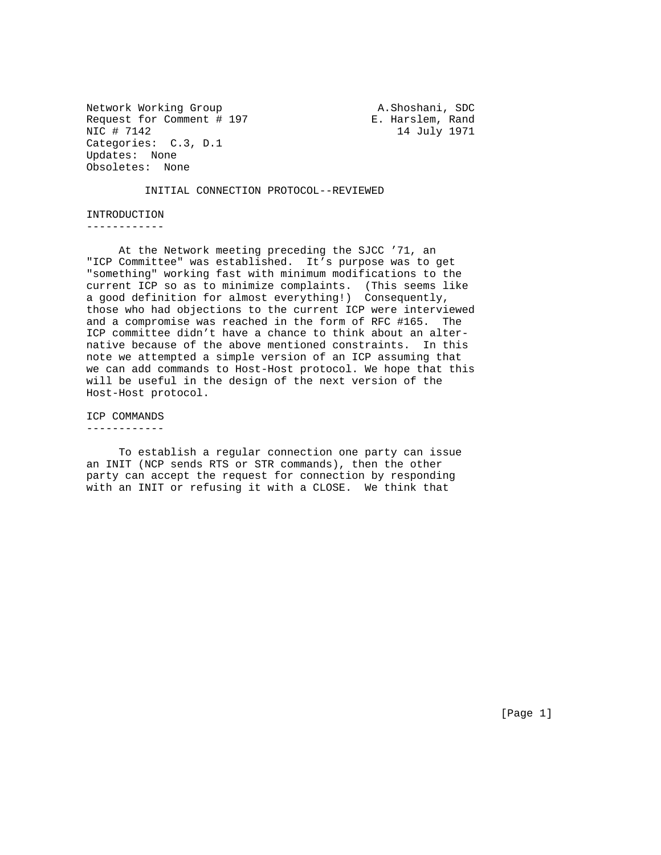Network Working Group A.Shoshani, SDC Request for Comment # 197 F. Harslem, Rand NIC # 7142 14 July 1971 Categories: C.3, D.1 Updates: None Obsoletes: None

INITIAL CONNECTION PROTOCOL--REVIEWED

INTRODUCTION ------------

 At the Network meeting preceding the SJCC '71, an "ICP Committee" was established. It's purpose was to get "something" working fast with minimum modifications to the current ICP so as to minimize complaints. (This seems like a good definition for almost everything!) Consequently, those who had objections to the current ICP were interviewed and a compromise was reached in the form of RFC #165. The ICP committee didn't have a chance to think about an alternative because of the above mentioned constraints. In this note we attempted a simple version of an ICP assuming that we can add commands to Host-Host protocol. We hope that this will be useful in the design of the next version of the Host-Host protocol.

ICP COMMANDS

------------

 To establish a regular connection one party can issue an INIT (NCP sends RTS or STR commands), then the other party can accept the request for connection by responding with an INIT or refusing it with a CLOSE. We think that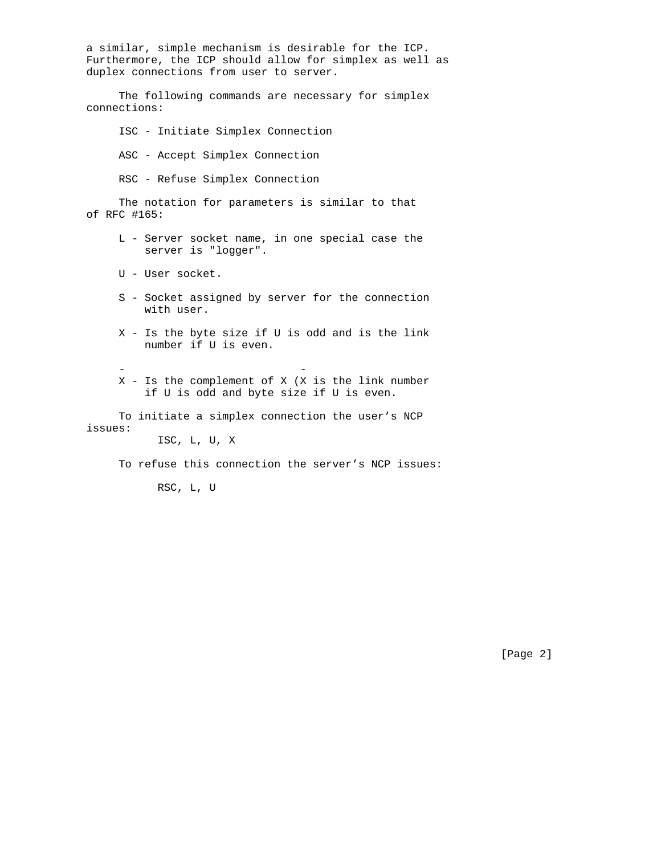a similar, simple mechanism is desirable for the ICP. Furthermore, the ICP should allow for simplex as well as duplex connections from user to server. The following commands are necessary for simplex connections: ISC - Initiate Simplex Connection ASC - Accept Simplex Connection

RSC - Refuse Simplex Connection

 The notation for parameters is similar to that of RFC #165:

- L Server socket name, in one special case the server is "logger".
- U User socket.
- S Socket assigned by server for the connection with user.
- X Is the byte size if U is odd and is the link number if U is even.
- - X - Is the complement of X (X is the link number if U is odd and byte size if U is even.

 To initiate a simplex connection the user's NCP issues:

ISC, L, U, X

To refuse this connection the server's NCP issues:

RSC, L, U

[Page 2]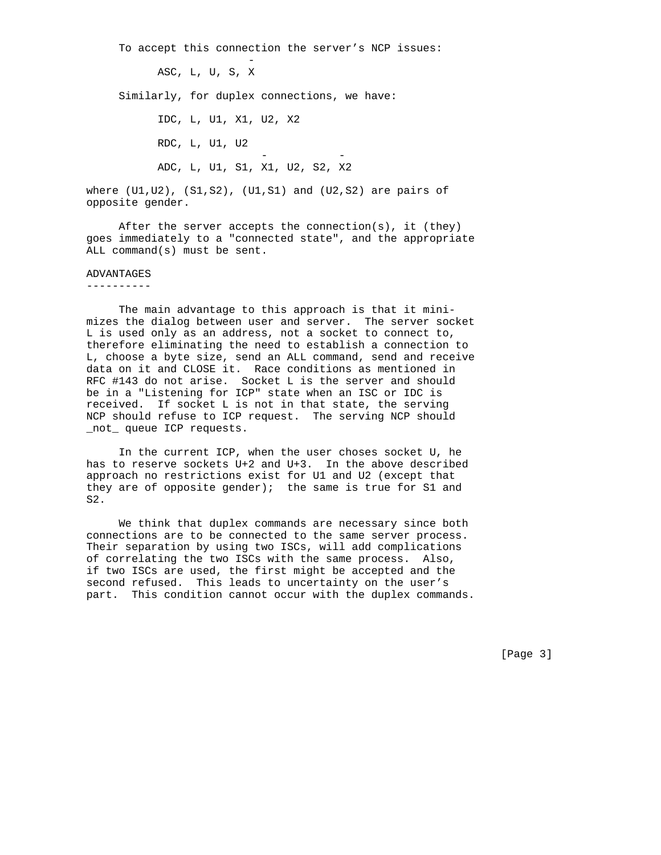To accept this connection the server's NCP issues: - 1990 - 1990 - 1990 - 1990 - 1990 - 1990 - 1990 - 1990 - 1990 - 1990 - 1990 - 1990 - 1990 - 1990 - 1990 - 19 ASC, L, U, S, X Similarly, for duplex connections, we have: IDC, L, U1, X1, U2, X2 RDC, L, U1, U2 - - ADC, L, U1, S1, X1, U2, S2, X2

where (U1,U2), (S1,S2), (U1,S1) and (U2,S2) are pairs of opposite gender.

 After the server accepts the connection(s), it (they) goes immediately to a "connected state", and the appropriate ALL command(s) must be sent.

## ADVANTAGES

----------

 The main advantage to this approach is that it minimizes the dialog between user and server. The server socket L is used only as an address, not a socket to connect to, therefore eliminating the need to establish a connection to L, choose a byte size, send an ALL command, send and receive data on it and CLOSE it. Race conditions as mentioned in RFC #143 do not arise. Socket L is the server and should be in a "Listening for ICP" state when an ISC or IDC is received. If socket L is not in that state, the serving NCP should refuse to ICP request. The serving NCP should \_not\_ queue ICP requests.

 In the current ICP, when the user choses socket U, he has to reserve sockets U+2 and U+3. In the above described approach no restrictions exist for U1 and U2 (except that they are of opposite gender); the same is true for S1 and  $S<sub>2</sub>$ 

 We think that duplex commands are necessary since both connections are to be connected to the same server process. Their separation by using two ISCs, will add complications of correlating the two ISCs with the same process. Also, if two ISCs are used, the first might be accepted and the second refused. This leads to uncertainty on the user's part. This condition cannot occur with the duplex commands.

[Page 3]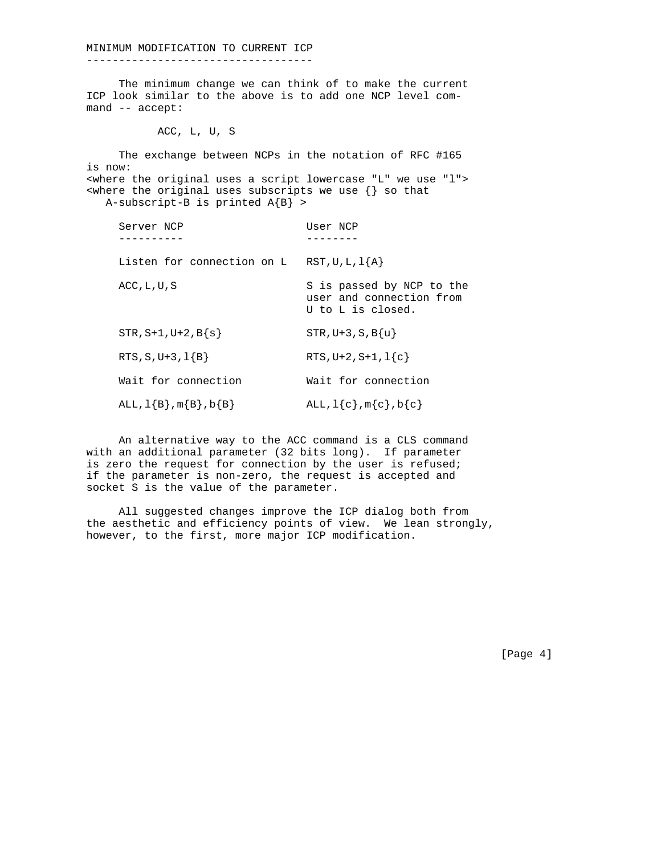MINIMUM MODIFICATION TO CURRENT ICP

-----------------------------------

 The minimum change we can think of to make the current ICP look similar to the above is to add one NCP level command -- accept:

ACC, L, U, S

 The exchange between NCPs in the notation of RFC #165 is now: <where the original uses a script lowercase "L" we use "l">  $\langle$  <where the original uses subscripts we use  $\{\}$  so that A-subscript-B is printed  $A{B} >$ 

| Server NCP                    | User NCP                                                                   |
|-------------------------------|----------------------------------------------------------------------------|
| Listen for connection on L    | $RST, U, L, 1{A}$                                                          |
| $ACC$ , $L$ , $U$ , $S$       | S is passed by NCP to the<br>user and connection from<br>U to L is closed. |
| $STR, S+1, U+2, B\{s\}$       | $STR, U+3, S, B\{u\}$                                                      |
| $RTS, S, U+3, 1{B}$           | $RTS, U+2, S+1, 1{c}$                                                      |
| Wait for connection           | Wait for connection                                                        |
| ALL, $1{B}$ , $m{B}$ , $b{B}$ | $ALL, 1{c}$ , m ${c}$ , b ${c}$                                            |

 An alternative way to the ACC command is a CLS command with an additional parameter (32 bits long). If parameter is zero the request for connection by the user is refused; if the parameter is non-zero, the request is accepted and socket S is the value of the parameter.

 All suggested changes improve the ICP dialog both from the aesthetic and efficiency points of view. We lean strongly, however, to the first, more major ICP modification.

[Page 4]